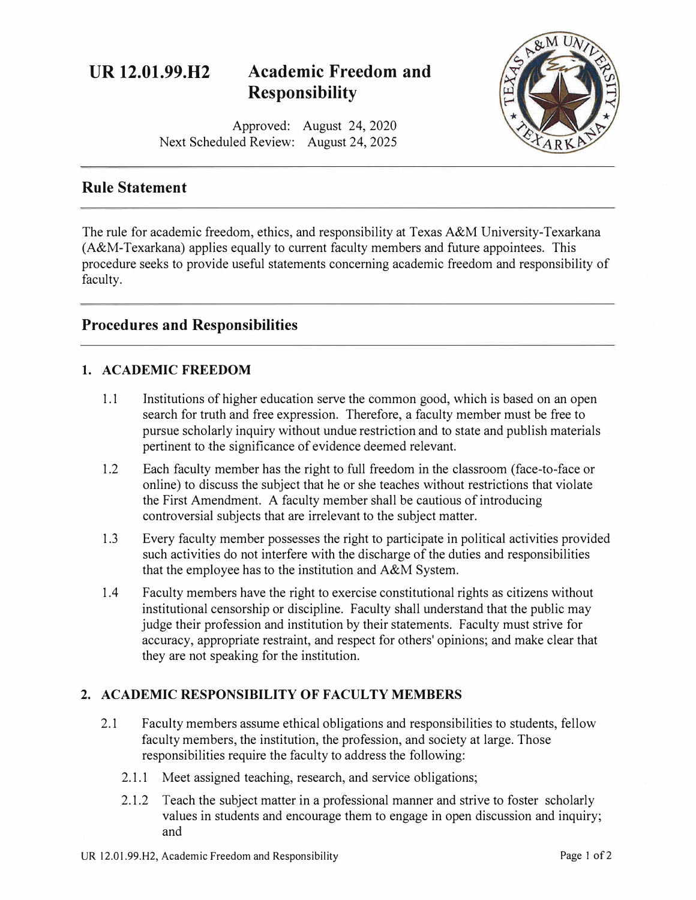# **UR 12.01.99.H2 Academic Freedom and Responsibility**

Approved: August 24, 2020 Next Scheduled Review: August 24, 2025



# **Rule Statement**

The rule for academic freedom, ethics, and responsibility at Texas A&M University-Texarkana (A&M-Texarkana) applies equally to current faculty members and future appointees. This procedure seeks to provide useful statements concerning academic freedom and responsibility of faculty.

# **Procedures and Responsibilities**

# **1. ACADEMIC FREEDOM**

- 1.1 Institutions of higher education serve the common good, which is based on an open search for truth and free expression. Therefore, a faculty member must be free to pursue scholarly inquiry without undue restriction and to state and publish materials pertinent to the significance of evidence deemed relevant.
- 1.2 Each faculty member has the right to full freedom in the classroom (face-to-face or online) to discuss the subject that he or she teaches without restrictions that violate the First Amendment. A faculty member shall be cautious of introducing controversial subjects that are irrelevant to the subject matter.
- 1.3 Every faculty member possesses the right to participate in political activities provided such activities do not interfere with the discharge of the duties and responsibilities that the employee has to the institution and A&M System.
- 1.4 Faculty members have the right to exercise constitutional rights as citizens without institutional censorship or discipline. Faculty shall understand that the public may judge their profession and institution by their statements. Faculty must strive for accuracy, appropriate restraint, and respect for others' opinions; and make clear that they are not speaking for the institution.

### **2. ACADEMIC RESPONSIBILITY OF FACULTY MEMBERS**

- 2.1 Faculty members assume ethical obligations and responsibilities to students, fellow faculty members, the institution, the profession, and society at large. Those responsibilities require the faculty to address the following:
	- 2.1.1 Meet assigned teaching, research, and service obligations;
	- 2.1.2 Teach the subject matter in a professional manner and strive to foster scholarly values in students and encourage them to engage in open discussion and inquiry; and